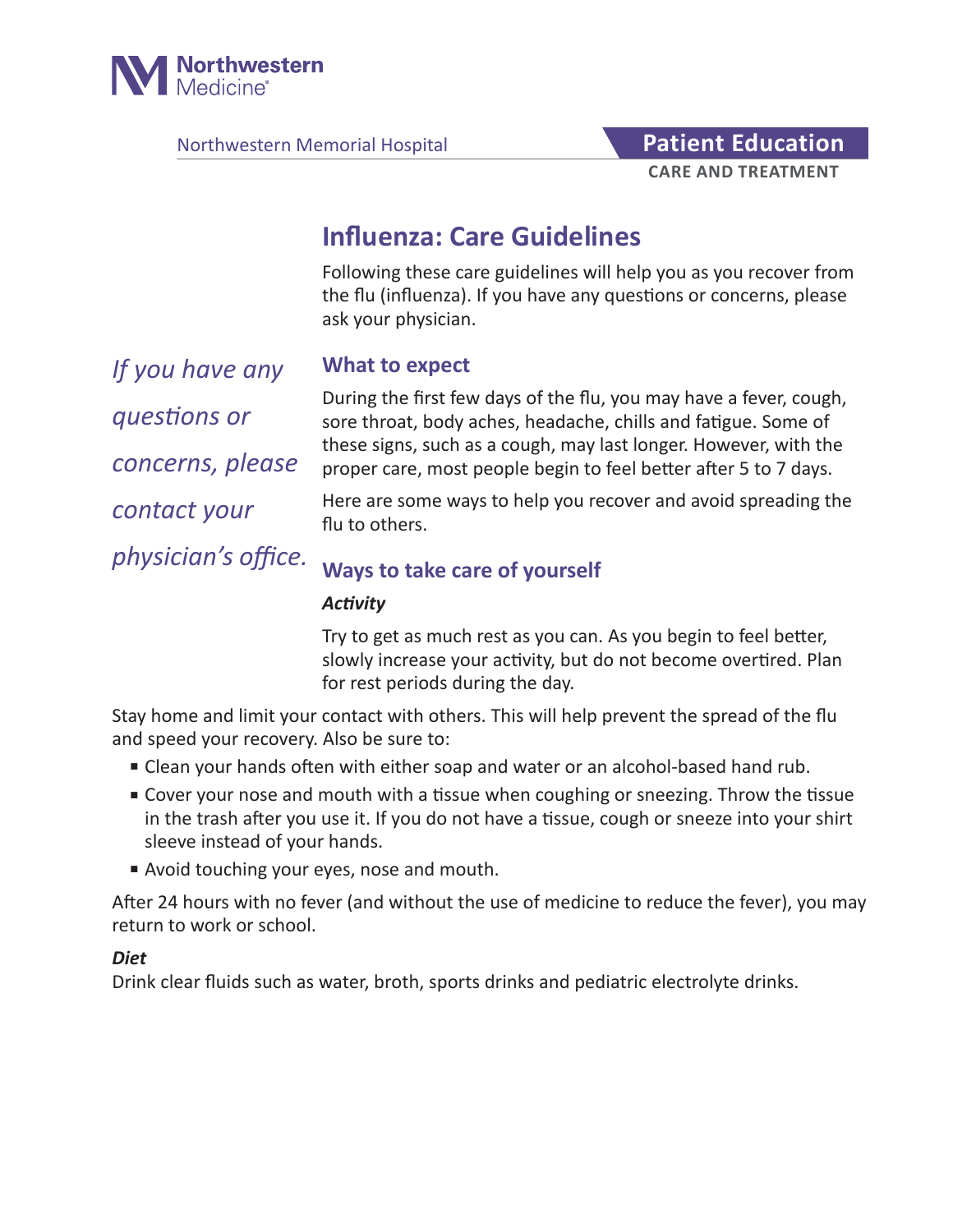

Northwestern Memorial Hospital **Patient Education** 

# **CARE AND TREATMENT**

# **Influenza: Care Guidelines**

Following these care guidelines will help you as you recover from the flu (influenza). If you have any questions or concerns, please ask your physician.

*If you have any questions or concerns, please contact your physician's office.*

#### **What to expect**

During the first few days of the flu, you may have a fever, cough, sore throat, body aches, headache, chills and fatigue. Some of these signs, such as a cough, may last longer. However, with the proper care, most people begin to feel better after 5 to 7 days.

Here are some ways to help you recover and avoid spreading the flu to others.

## **Ways to take care of yourself**

#### *Activity*

Try to get as much rest as you can. As you begin to feel better, slowly increase your activity, but do not become overtired. Plan for rest periods during the day.

Stay home and limit your contact with others. This will help prevent the spread of the flu and speed your recovery. Also be sure to:

- Clean your hands often with either soap and water or an alcohol-based hand rub.
- Cover your nose and mouth with a tissue when coughing or sneezing. Throw the tissue in the trash after you use it. If you do not have a tissue, cough or sneeze into your shirt sleeve instead of your hands.
- Avoid touching your eyes, nose and mouth.

After 24 hours with no fever (and without the use of medicine to reduce the fever), you may return to work or school.

#### *Diet*

Drink clear fluids such as water, broth, sports drinks and pediatric electrolyte drinks.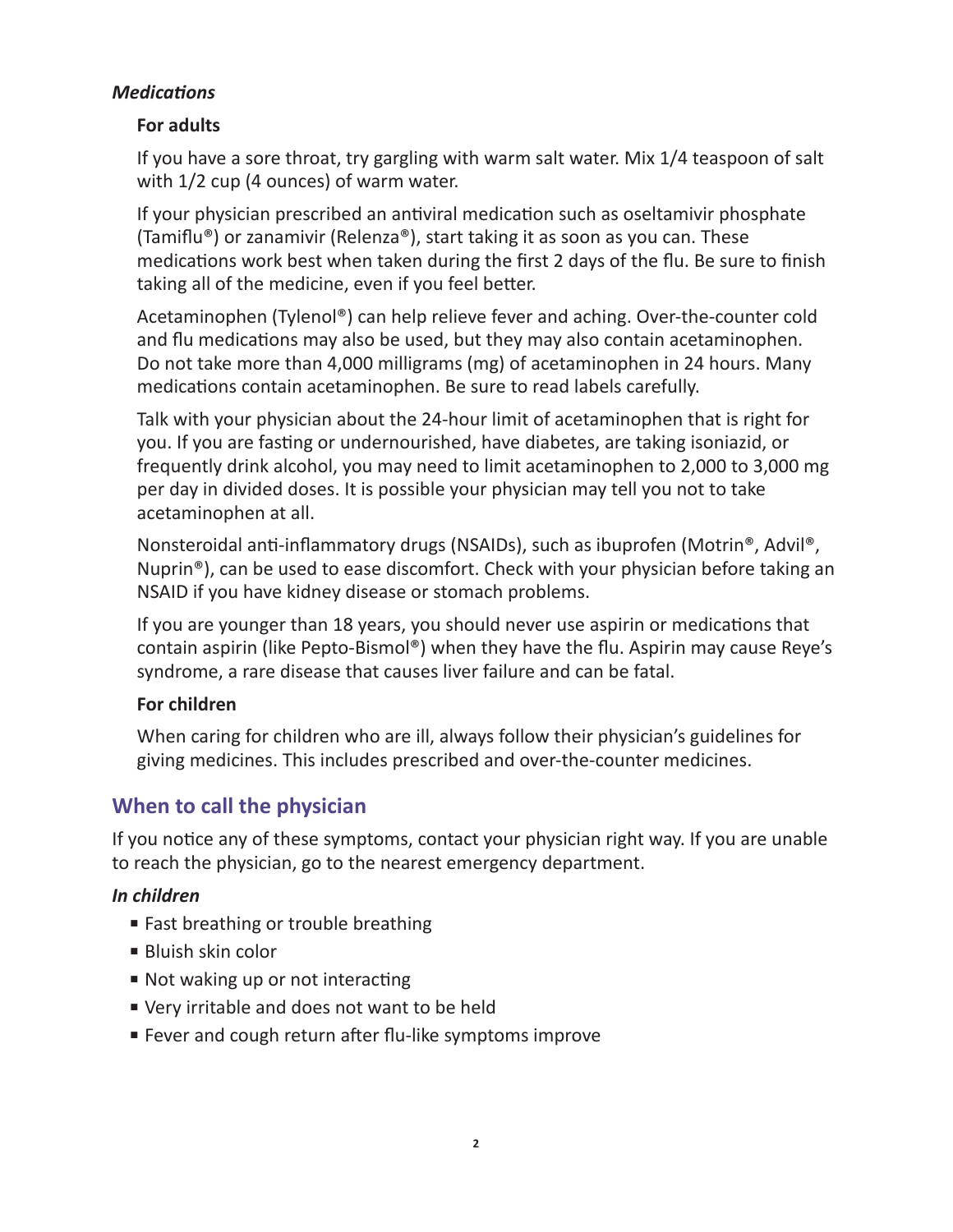#### *Medications*

#### **For adults**

If you have a sore throat, try gargling with warm salt water. Mix 1/4 teaspoon of salt with 1/2 cup (4 ounces) of warm water.

If your physician prescribed an antiviral medication such as oseltamivir phosphate (Tamiflu®) or zanamivir (Relenza®), start taking it as soon as you can. These medications work best when taken during the first 2 days of the flu. Be sure to finish taking all of the medicine, even if you feel better.

Acetaminophen (Tylenol®) can help relieve fever and aching. Over-the-counter cold and flu medications may also be used, but they may also contain acetaminophen. Do not take more than 4,000 milligrams (mg) of acetaminophen in 24 hours. Many medications contain acetaminophen. Be sure to read labels carefully.

Talk with your physician about the 24-hour limit of acetaminophen that is right for you. If you are fasting or undernourished, have diabetes, are taking isoniazid, or frequently drink alcohol, you may need to limit acetaminophen to 2,000 to 3,000 mg per day in divided doses. It is possible your physician may tell you not to take acetaminophen at all.

Nonsteroidal anti-inflammatory drugs (NSAIDs), such as ibuprofen (Motrin®, Advil®, Nuprin®), can be used to ease discomfort. Check with your physician before taking an NSAID if you have kidney disease or stomach problems.

If you are younger than 18 years, you should never use aspirin or medications that contain aspirin (like Pepto-Bismol®) when they have the flu. Aspirin may cause Reye's syndrome, a rare disease that causes liver failure and can be fatal.

#### **For children**

When caring for children who are ill, always follow their physician's guidelines for giving medicines. This includes prescribed and over-the-counter medicines.

## **When to call the physician**

If you notice any of these symptoms, contact your physician right way. If you are unable to reach the physician, go to the nearest emergency department.

#### *In children*

- Fast breathing or trouble breathing
- Bluish skin color
- Not waking up or not interacting
- Very irritable and does not want to be held
- Fever and cough return after flu-like symptoms improve